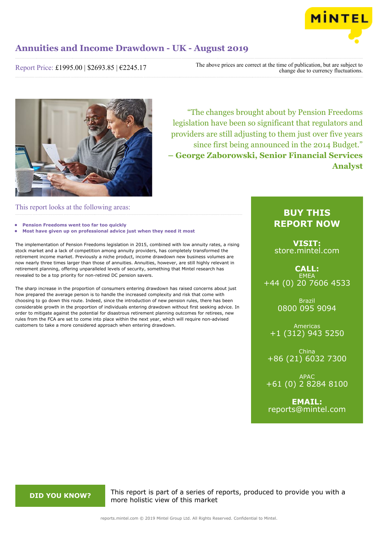

Report Price: £1995.00 | \$2693.85 | €2245.17

The above prices are correct at the time of publication, but are subject to change due to currency fluctuations.



"The changes brought about by Pension Freedoms legislation have been so significant that regulators and providers are still adjusting to them just over five years since first being announced in the 2014 Budget." **– George Zaborowski, Senior Financial Services Analyst**

# This report looks at the following areas:

- **• Pension Freedoms went too far too quickly**
- **• Most have given up on professional advice just when they need it most**

The implementation of Pension Freedoms legislation in 2015, combined with low annuity rates, a rising stock market and a lack of competition among annuity providers, has completely transformed the retirement income market. Previously a niche product, income drawdown new business volumes are now nearly three times larger than those of annuities. Annuities, however, are still highly relevant in retirement planning, offering unparalleled levels of security, something that Mintel research has revealed to be a top priority for non-retired DC pension savers.

The sharp increase in the proportion of consumers entering drawdown has raised concerns about just how prepared the average person is to handle the increased complexity and risk that come with choosing to go down this route. Indeed, since the introduction of new pension rules, there has been considerable growth in the proportion of individuals entering drawdown without first seeking advice. In order to mitigate against the potential for disastrous retirement planning outcomes for retirees, new rules from the FCA are set to come into place within the next year, which will require non-advised customers to take a more considered approach when entering drawdown.

# **BUY THIS REPORT NOW**

**VISIT:** [store.mintel.com](/reports.mintel.com//display/store/920546/)

**CALL: EMEA** +44 (0) 20 7606 4533

> Brazil 0800 095 9094

Americas +1 (312) 943 5250

China +86 (21) 6032 7300

APAC +61 (0) 2 8284 8100

**EMAIL:** [reports@mintel.com](mailto:reports@mintel.com)

**DID YOU KNOW?** This report is part of a series of reports, produced to provide you with a more holistic view of this market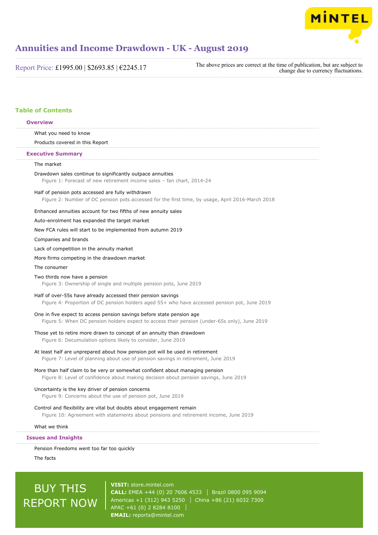

Report Price: £1995.00 | \$2693.85 | €2245.17

The above prices are correct at the time of publication, but are subject to change due to currency fluctuations.

# **Table of Contents**

## **Overview**

What you need to know

Products covered in this Report

### **Executive Summary**

# The market

Drawdown sales continue to significantly outpace annuities Figure 1: Forecast of new retirement income sales – fan chart, 2014-24

#### Half of pension pots accessed are fully withdrawn

Figure 2: Number of DC pension pots accessed for the first time, by usage, April 2016-March 2018

### Enhanced annuities account for two fifths of new annuity sales

#### Auto-enrolment has expanded the target market

New FCA rules will start to be implemented from autumn 2019

Companies and brands

#### Lack of competition in the annuity market

#### More firms competing in the drawdown market

### The consumer

#### Two thirds now have a pension

Figure 3: Ownership of single and multiple pension pots, June 2019

### Half of over-55s have already accessed their pension savings

Figure 4: Proportion of DC pension holders aged 55+ who have accessed pension pot, June 2019

## One in five expect to access pension savings before state pension age

Figure 5: When DC pension holders expect to access their pension (under-65s only), June 2019

# Those yet to retire more drawn to concept of an annuity than drawdown

Figure 6: Decumulation options likely to consider, June 2019

## At least half are unprepared about how pension pot will be used in retirement

Figure 7: Level of planning about use of pension savings in retirement, June 2019

## More than half claim to be very or somewhat confident about managing pension

Figure 8: Level of confidence about making decision about pension savings, June 2019

## Uncertainty is the key driver of pension concerns

Figure 9: Concerns about the use of pension pot, June 2019

# Control and flexibility are vital but doubts about engagement remain Figure 10: Agreement with statements about pensions and retirement income, June 2019

### What we think

## **Issues and Insights**

Pension Freedoms went too far too quickly

The facts

# BUY THIS REPORT NOW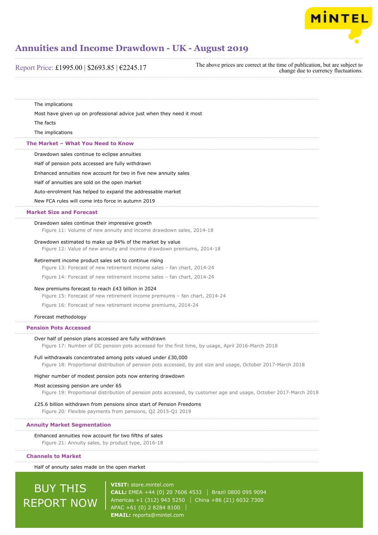

| Report Price: £1995.00   \$2693.85   €2245.17                                                                                                                                  | The above prices are correct at the time of publication, but are subject to<br>change due to currency fluctuations. |
|--------------------------------------------------------------------------------------------------------------------------------------------------------------------------------|---------------------------------------------------------------------------------------------------------------------|
|                                                                                                                                                                                |                                                                                                                     |
| The implications                                                                                                                                                               |                                                                                                                     |
| Most have given up on professional advice just when they need it most                                                                                                          |                                                                                                                     |
| The facts                                                                                                                                                                      |                                                                                                                     |
| The implications                                                                                                                                                               |                                                                                                                     |
| The Market - What You Need to Know                                                                                                                                             |                                                                                                                     |
| Drawdown sales continue to eclipse annuities                                                                                                                                   |                                                                                                                     |
| Half of pension pots accessed are fully withdrawn                                                                                                                              |                                                                                                                     |
| Enhanced annuities now account for two in five new annuity sales                                                                                                               |                                                                                                                     |
| Half of annuities are sold on the open market                                                                                                                                  |                                                                                                                     |
| Auto-enrolment has helped to expand the addressable market                                                                                                                     |                                                                                                                     |
| New FCA rules will come into force in autumn 2019                                                                                                                              |                                                                                                                     |
| <b>Market Size and Forecast</b>                                                                                                                                                |                                                                                                                     |
| Drawdown sales continue their impressive growth<br>Figure 11: Volume of new annuity and income drawdown sales, 2014-18                                                         |                                                                                                                     |
| Drawdown estimated to make up 84% of the market by value<br>Figure 12: Value of new annuity and income drawdown premiums, 2014-18                                              |                                                                                                                     |
| Retirement income product sales set to continue rising                                                                                                                         |                                                                                                                     |
| Figure 13: Forecast of new retirement income sales - fan chart, 2014-24                                                                                                        |                                                                                                                     |
| Figure 14: Forecast of new retirement income sales - fan chart, 2014-24                                                                                                        |                                                                                                                     |
| New premiums forecast to reach £43 billion in 2024<br>Figure 15: Forecast of new retirement income premiums - fan chart, 2014-24                                               |                                                                                                                     |
| Figure 16: Forecast of new retirement income premiums, 2014-24                                                                                                                 |                                                                                                                     |
| Forecast methodology                                                                                                                                                           |                                                                                                                     |
| <b>Pension Pots Accessed</b>                                                                                                                                                   |                                                                                                                     |
| Over half of pension plans accessed are fully withdrawn<br>Figure 17: Number of DC pension pots accessed for the first time, by usage, April 2016-March 2018                   |                                                                                                                     |
| Full withdrawals concentrated among pots valued under £30,000<br>Figure 18: Proportional distribution of pension pots accessed, by pot size and usage, October 2017-March 2018 |                                                                                                                     |
| Higher number of modest pension pots now entering drawdown                                                                                                                     |                                                                                                                     |
| Most accessing pension are under 65<br>Figure 19: Proportional distribution of pension pots accessed, by customer age and usage, October 2017-March 2018                       |                                                                                                                     |
| £25.6 billion withdrawn from pensions since start of Pension Freedoms<br>Figure 20: Flexible payments from pensions, Q2 2015-Q1 2019                                           |                                                                                                                     |
| <b>Annuity Market Segmentation</b>                                                                                                                                             |                                                                                                                     |
| Enhanced annuities now account for two fifths of sales<br>Figure 21: Annuity sales, by product type, 2016-18                                                                   |                                                                                                                     |
| <b>Channels to Market</b>                                                                                                                                                      |                                                                                                                     |
| Half of annuity sales made on the open market                                                                                                                                  |                                                                                                                     |

# **BUY THIS** REPORT NOW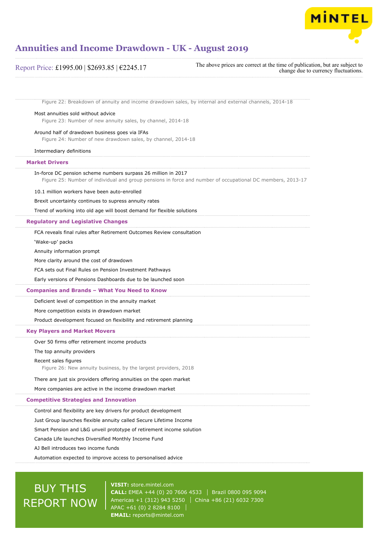

# Figure 22: Breakdown of annuity and income drawdown sales, by internal and external channels, 2014-18 Most annuities sold without advice Figure 23: Number of new annuity sales, by channel, 2014-18 Around half of drawdown business goes via IFAs Figure 24: Number of new drawdown sales, by channel, 2014-18 Intermediary definitions In-force DC pension scheme numbers surpass 26 million in 2017 Figure 25: Number of individual and group pensions in force and number of occupational DC members, 2013-17 10.1 million workers have been auto-enrolled Brexit uncertainty continues to supress annuity rates Trend of working into old age will boost demand for flexible solutions FCA reveals final rules after Retirement Outcomes Review consultation 'Wake-up' packs Annuity information prompt More clarity around the cost of drawdown FCA sets out Final Rules on Pension Investment Pathways Early versions of Pensions Dashboards due to be launched soon Deficient level of competition in the annuity market More competition exists in drawdown market Product development focused on flexibility and retirement planning Over 50 firms offer retirement income products The top annuity providers Recent sales figures Figure 26: New annuity business, by the largest providers, 2018 There are just six providers offering annuities on the open market More companies are active in the income drawdown market Control and flexibility are key drivers for product development Just Group launches flexible annuity called Secure Lifetime Income Smart Pension and L&G unveil prototype of retirement income solution Canada Life launches Diversified Monthly Income Fund AJ Bell introduces two income funds Automation expected to improve access to personalised advice **Market Drivers Regulatory and Legislative Changes Companies and Brands – What You Need to Know Key Players and Market Movers Competitive Strategies and Innovation** Report Price: £1995.00 | \$2693.85 | €2245.17 The above prices are correct at the time of publication, but are subject to change due to currency fluctuations.

# BUY THIS REPORT NOW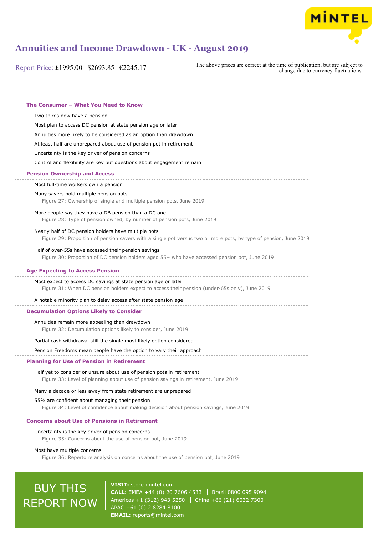

Report Price: £1995.00 | \$2693.85 | €2245.17

The above prices are correct at the time of publication, but are subject to change due to currency fluctuations.

Two thirds now have a pension Most plan to access DC pension at state pension age or later Annuities more likely to be considered as an option than drawdown At least half are unprepared about use of pension pot in retirement Uncertainty is the key driver of pension concerns Control and flexibility are key but questions about engagement remain Most full-time workers own a pension Many savers hold multiple pension pots Figure 27: Ownership of single and multiple pension pots, June 2019 More people say they have a DB pension than a DC one Figure 28: Type of pension owned, by number of pension pots, June 2019 Nearly half of DC pension holders have multiple pots Figure 29: Proportion of pension savers with a single pot versus two or more pots, by type of pension, June 2019 Half of over-55s have accessed their pension savings Figure 30: Proportion of DC pension holders aged 55+ who have accessed pension pot, June 2019 Most expect to access DC savings at state pension age or later Figure 31: When DC pension holders expect to access their pension (under-65s only), June 2019 A notable minority plan to delay access after state pension age Annuities remain more appealing than drawdown Figure 32: Decumulation options likely to consider, June 2019 Partial cash withdrawal still the single most likely option considered Pension Freedoms mean people have the option to vary their approach Half yet to consider or unsure about use of pension pots in retirement Figure 33: Level of planning about use of pension savings in retirement, June 2019 Many a decade or less away from state retirement are unprepared 55% are confident about managing their pension Figure 34: Level of confidence about making decision about pension savings, June 2019 Uncertainty is the key driver of pension concerns Figure 35: Concerns about the use of pension pot, June 2019 **The Consumer – What You Need to Know Pension Ownership and Access Age Expecting to Access Pension Decumulation Options Likely to Consider Planning for Use of Pension in Retirement Concerns about Use of Pensions in Retirement**

Most have multiple concerns

Figure 36: Repertoire analysis on concerns about the use of pension pot, June 2019

# BUY THIS REPORT NOW